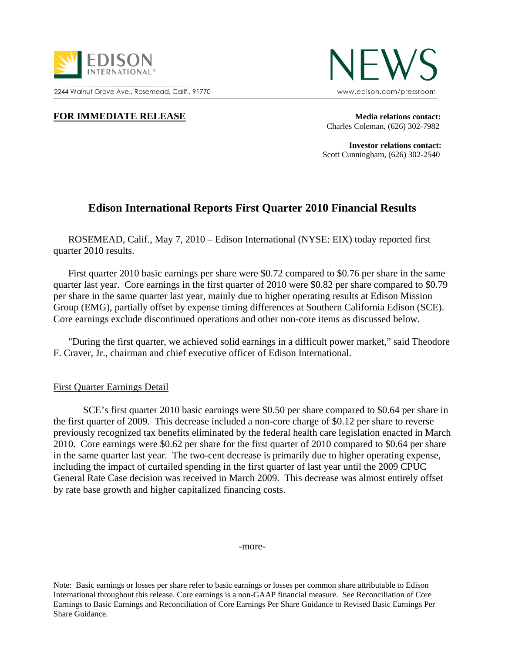

2244 Walnut Grove Ave., Rosemead, Calif., 91770



## **FOR IMMEDIATE RELEASE Media relations contact:**

Charles Coleman, (626) 302-7982

 **Investor relations contact:**  Scott Cunningham, (626) 302-2540

# **Edison International Reports First Quarter 2010 Financial Results**

ROSEMEAD, Calif., May 7, 2010 – Edison International (NYSE: EIX) today reported first quarter 2010 results.

First quarter 2010 basic earnings per share were \$0.72 compared to \$0.76 per share in the same quarter last year. Core earnings in the first quarter of 2010 were \$0.82 per share compared to \$0.79 per share in the same quarter last year, mainly due to higher operating results at Edison Mission Group (EMG), partially offset by expense timing differences at Southern California Edison (SCE). Core earnings exclude discontinued operations and other non-core items as discussed below.

"During the first quarter, we achieved solid earnings in a difficult power market," said Theodore F. Craver, Jr., chairman and chief executive officer of Edison International.

### First Quarter Earnings Detail

SCE's first quarter 2010 basic earnings were \$0.50 per share compared to \$0.64 per share in the first quarter of 2009. This decrease included a non-core charge of \$0.12 per share to reverse previously recognized tax benefits eliminated by the federal health care legislation enacted in March 2010. Core earnings were \$0.62 per share for the first quarter of 2010 compared to \$0.64 per share in the same quarter last year. The two-cent decrease is primarily due to higher operating expense, including the impact of curtailed spending in the first quarter of last year until the 2009 CPUC General Rate Case decision was received in March 2009. This decrease was almost entirely offset by rate base growth and higher capitalized financing costs.

-more-

Note: Basic earnings or losses per share refer to basic earnings or losses per common share attributable to Edison International throughout this release. Core earnings is a non-GAAP financial measure. See Reconciliation of Core Earnings to Basic Earnings and Reconciliation of Core Earnings Per Share Guidance to Revised Basic Earnings Per Share Guidance.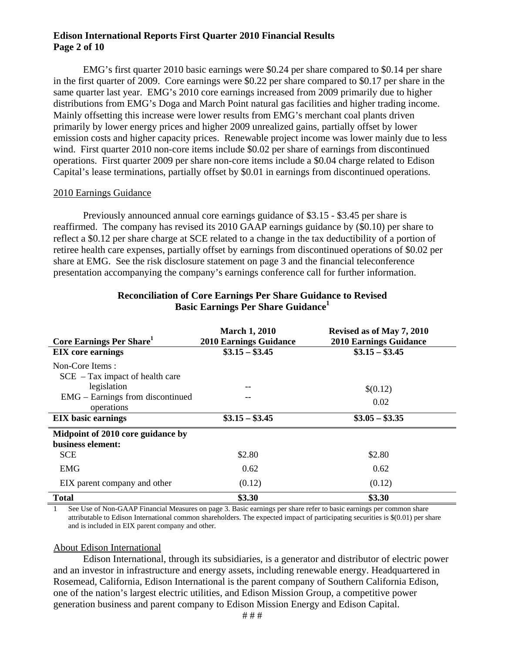# **Edison International Reports First Quarter 2010 Financial Results Page 2 of 10**

EMG's first quarter 2010 basic earnings were \$0.24 per share compared to \$0.14 per share in the first quarter of 2009. Core earnings were \$0.22 per share compared to \$0.17 per share in the same quarter last year. EMG's 2010 core earnings increased from 2009 primarily due to higher distributions from EMG's Doga and March Point natural gas facilities and higher trading income. Mainly offsetting this increase were lower results from EMG's merchant coal plants driven primarily by lower energy prices and higher 2009 unrealized gains, partially offset by lower emission costs and higher capacity prices. Renewable project income was lower mainly due to less wind. First quarter 2010 non-core items include \$0.02 per share of earnings from discontinued operations. First quarter 2009 per share non-core items include a \$0.04 charge related to Edison Capital's lease terminations, partially offset by \$0.01 in earnings from discontinued operations.

### 2010 Earnings Guidance

Previously announced annual core earnings guidance of \$3.15 - \$3.45 per share is reaffirmed. The company has revised its 2010 GAAP earnings guidance by (\$0.10) per share to reflect a \$0.12 per share charge at SCE related to a change in the tax deductibility of a portion of retiree health care expenses, partially offset by earnings from discontinued operations of \$0.02 per share at EMG. See the risk disclosure statement on page 3 and the financial teleconference presentation accompanying the company's earnings conference call for further information.

| Core Earnings Per Share <sup>1</sup>                   | <b>March 1, 2010</b><br><b>2010 Earnings Guidance</b> | Revised as of May 7, 2010<br><b>2010 Earnings Guidance</b> |
|--------------------------------------------------------|-------------------------------------------------------|------------------------------------------------------------|
| <b>EIX</b> core earnings                               | $$3.15 - $3.45$                                       | $\$3.15 - \$3.45$                                          |
| Non-Core Items:<br>$SCE - Tax impact of health care$   |                                                       |                                                            |
| legislation                                            | --                                                    | \$(0.12)                                                   |
| EMG – Earnings from discontinued<br>operations         |                                                       | 0.02                                                       |
| <b>EIX</b> basic earnings                              | $$3.15 - $3.45$                                       | $$3.05 - $3.35$                                            |
| Midpoint of 2010 core guidance by<br>business element: |                                                       |                                                            |
| <b>SCE</b>                                             | \$2.80                                                | \$2.80                                                     |
| <b>EMG</b>                                             | 0.62                                                  | 0.62                                                       |
| EIX parent company and other                           | (0.12)                                                | (0.12)                                                     |
| <b>Total</b>                                           | \$3.30                                                | \$3.30                                                     |

# **Reconciliation of Core Earnings Per Share Guidance to Revised Basic Earnings Per Share Guidance**

See Use of Non-GAAP Financial Measures on page 3. Basic earnings per share refer to basic earnings per common share attributable to Edison International common shareholders. The expected impact of participating securities is \$(0.01) per share and is included in EIX parent company and other.

### About Edison International

Edison International, through its subsidiaries, is a generator and distributor of electric power and an investor in infrastructure and energy assets, including renewable energy. Headquartered in Rosemead, California, Edison International is the parent company of Southern California Edison, one of the nation's largest electric utilities, and Edison Mission Group, a competitive power generation business and parent company to Edison Mission Energy and Edison Capital.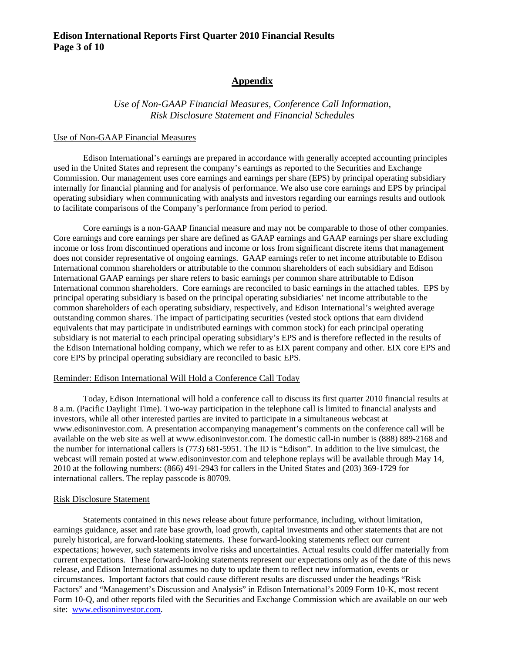### **Edison International Reports First Quarter 2010 Financial Results Page 3 of 10**

### **Appendix**

*Use of Non-GAAP Financial Measures, Conference Call Information, Risk Disclosure Statement and Financial Schedules* 

#### Use of Non-GAAP Financial Measures

Edison International's earnings are prepared in accordance with generally accepted accounting principles used in the United States and represent the company's earnings as reported to the Securities and Exchange Commission. Our management uses core earnings and earnings per share (EPS) by principal operating subsidiary internally for financial planning and for analysis of performance. We also use core earnings and EPS by principal operating subsidiary when communicating with analysts and investors regarding our earnings results and outlook to facilitate comparisons of the Company's performance from period to period.

Core earnings is a non-GAAP financial measure and may not be comparable to those of other companies. Core earnings and core earnings per share are defined as GAAP earnings and GAAP earnings per share excluding income or loss from discontinued operations and income or loss from significant discrete items that management does not consider representative of ongoing earnings. GAAP earnings refer to net income attributable to Edison International common shareholders or attributable to the common shareholders of each subsidiary and Edison International GAAP earnings per share refers to basic earnings per common share attributable to Edison International common shareholders. Core earnings are reconciled to basic earnings in the attached tables. EPS by principal operating subsidiary is based on the principal operating subsidiaries' net income attributable to the common shareholders of each operating subsidiary, respectively, and Edison International's weighted average outstanding common shares. The impact of participating securities (vested stock options that earn dividend equivalents that may participate in undistributed earnings with common stock) for each principal operating subsidiary is not material to each principal operating subsidiary's EPS and is therefore reflected in the results of the Edison International holding company, which we refer to as EIX parent company and other. EIX core EPS and core EPS by principal operating subsidiary are reconciled to basic EPS.

### Reminder: Edison International Will Hold a Conference Call Today

Today, Edison International will hold a conference call to discuss its first quarter 2010 financial results at 8 a.m. (Pacific Daylight Time). Two-way participation in the telephone call is limited to financial analysts and investors, while all other interested parties are invited to participate in a simultaneous webcast at www.edisoninvestor.com. A presentation accompanying management's comments on the conference call will be available on the web site as well at www.edisoninvestor.com. The domestic call-in number is (888) 889-2168 and the number for international callers is (773) 681-5951. The ID is "Edison". In addition to the live simulcast, the webcast will remain posted at www.edisoninvestor.com and telephone replays will be available through May 14, 2010 at the following numbers: (866) 491-2943 for callers in the United States and (203) 369-1729 for international callers. The replay passcode is 80709.

#### Risk Disclosure Statement

Statements contained in this news release about future performance, including, without limitation, earnings guidance, asset and rate base growth, load growth, capital investments and other statements that are not purely historical, are forward-looking statements. These forward-looking statements reflect our current expectations; however, such statements involve risks and uncertainties. Actual results could differ materially from current expectations. These forward-looking statements represent our expectations only as of the date of this news release, and Edison International assumes no duty to update them to reflect new information, events or circumstances. Important factors that could cause different results are discussed under the headings "Risk Factors" and "Management's Discussion and Analysis" in Edison International's 2009 Form 10-K, most recent Form 10-Q, and other reports filed with the Securities and Exchange Commission which are available on our web site: www.edisoninvestor.com.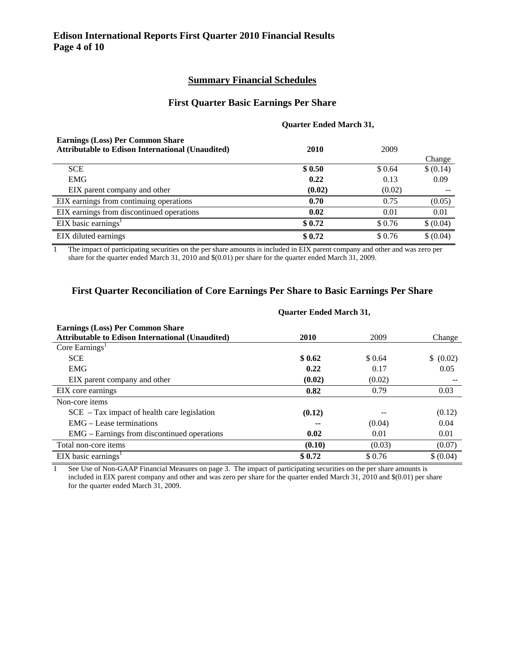### **Summary Financial Schedules**

### **First Quarter Basic Earnings Per Share**

#### **Quarter Ended March 31,**

| <b>Earnings (Loss) Per Common Share</b><br><b>Attributable to Edison International (Unaudited)</b> | 2010   | 2009    |           |
|----------------------------------------------------------------------------------------------------|--------|---------|-----------|
|                                                                                                    |        |         | Change    |
| <b>SCE</b>                                                                                         | \$0.50 | \$ 0.64 | \$ (0.14) |
| <b>EMG</b>                                                                                         | 0.22   | 0.13    | 0.09      |
| EIX parent company and other                                                                       | (0.02) | (0.02)  | --        |
| EIX earnings from continuing operations                                                            | 0.70   | 0.75    | (0.05)    |
| EIX earnings from discontinued operations                                                          | 0.02   | 0.01    | 0.01      |
| $EIX$ basic earnings <sup>1</sup>                                                                  | \$0.72 | \$0.76  | \$ (0.04) |
| EIX diluted earnings                                                                               | \$0.72 | \$0.76  | \$ (0.04) |

1 The impact of participating securities on the per share amounts is included in EIX parent company and other and was zero per share for the quarter ended March 31, 2010 and \$(0.01) per share for the quarter ended March 31, 2009.

### **First Quarter Reconciliation of Core Earnings Per Share to Basic Earnings Per Share**

| <b>Earnings (Loss) Per Common Share</b>                 |        |        |           |
|---------------------------------------------------------|--------|--------|-----------|
| <b>Attributable to Edison International (Unaudited)</b> | 2010   | 2009   | Change    |
| Core Earnings <sup>1</sup>                              |        |        |           |
| <b>SCE</b>                                              | \$0.62 | \$0.64 | \$ (0.02) |
| <b>EMG</b>                                              | 0.22   | 0.17   | 0.05      |
| EIX parent company and other                            | (0.02) | (0.02) |           |
| EIX core earnings                                       | 0.82   | 0.79   | 0.03      |
| Non-core items                                          |        |        |           |
| $SCE - Tax impact of health care legislation$           | (0.12) |        | (0.12)    |
| $EMG - Lease$ terminations                              | --     | (0.04) | 0.04      |
| EMG – Earnings from discontinued operations             | 0.02   | 0.01   | 0.01      |
| Total non-core items                                    | (0.10) | (0.03) | (0.07)    |
| $EIX$ basic earnings <sup>1</sup>                       | \$0.72 | \$0.76 | \$ (0.04) |

### **Quarter Ended March 31,**

1 See Use of Non-GAAP Financial Measures on page 3. The impact of participating securities on the per share amounts is included in EIX parent company and other and was zero per share for the quarter ended March 31, 2010 and \$(0.01) per share for the quarter ended March 31, 2009.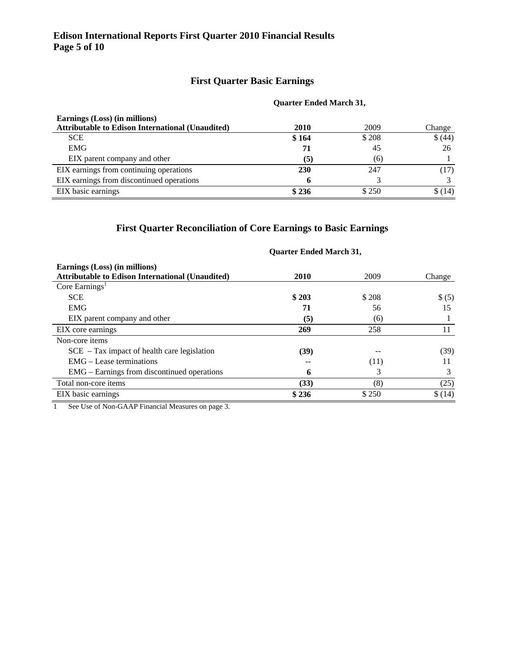# **First Quarter Basic Earnings**

### **Quarter Ended March 31,**

| Earnings (Loss) (in millions)                           |       |       |         |
|---------------------------------------------------------|-------|-------|---------|
| <b>Attributable to Edison International (Unaudited)</b> | 2010  | 2009  | Change  |
| <b>SCE</b>                                              | \$164 | \$208 | \$ (44) |
| <b>EMG</b>                                              | 71    | 45    | 26      |
| EIX parent company and other                            | (5)   | (6)   |         |
| EIX earnings from continuing operations                 | 230   | 247   | (17)    |
| EIX earnings from discontinued operations               |       |       |         |
| EIX basic earnings                                      | \$236 | \$250 | \$(14)  |

# **First Quarter Reconciliation of Core Earnings to Basic Earnings**

|                                                                                          | <b>Quarter Ended March 31,</b> |       |        |
|------------------------------------------------------------------------------------------|--------------------------------|-------|--------|
| Earnings (Loss) (in millions)<br><b>Attributable to Edison International (Unaudited)</b> | 2010                           | 2009  | Change |
| Core Earnings <sup>1</sup>                                                               |                                |       |        |
| <b>SCE</b>                                                                               | \$203                          | \$208 | \$ (5) |
| <b>EMG</b>                                                                               | 71                             | 56    | 15     |
| EIX parent company and other                                                             | (5)                            | (6)   |        |
| EIX core earnings                                                                        | 269                            | 258   | 11     |
| Non-core items                                                                           |                                |       |        |
| $SCE$ – Tax impact of health care legislation                                            | (39)                           |       | (39)   |
| $EMG - Lease$ terminations                                                               |                                | (11)  | 11     |
| EMG – Earnings from discontinued operations                                              | 6                              | 3     | 3      |
| Total non-core items                                                                     | (33)                           | (8)   | (25)   |
| EIX basic earnings                                                                       | \$236                          | \$250 | \$(14) |

1 See Use of Non-GAAP Financial Measures on page 3.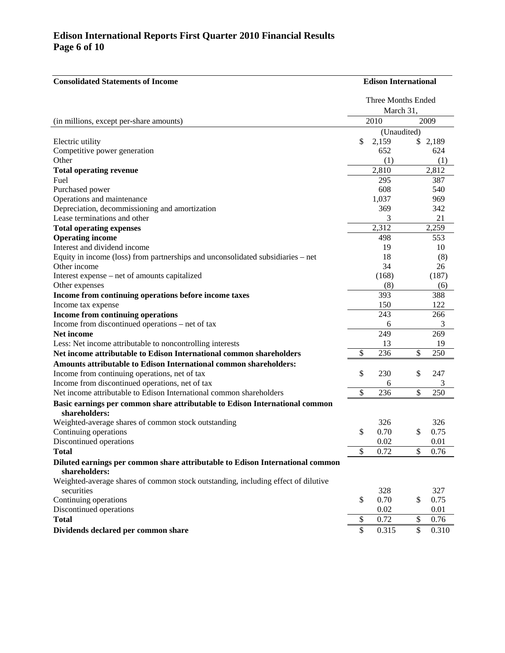## **Edison International Reports First Quarter 2010 Financial Results Page 6 of 10**

| <b>Consolidated Statements of Income</b>                                                        | <b>Edison International</b> |             |    |           |
|-------------------------------------------------------------------------------------------------|-----------------------------|-------------|----|-----------|
|                                                                                                 | Three Months Ended          |             |    |           |
|                                                                                                 |                             | March 31,   |    |           |
| (in millions, except per-share amounts)                                                         |                             | 2010        |    | 2009      |
|                                                                                                 |                             | (Unaudited) |    |           |
| Electric utility                                                                                | \$                          | 2,159       | \$ | 2,189     |
| Competitive power generation                                                                    |                             | 652         |    | 624       |
| Other                                                                                           |                             | (1)         |    | (1)       |
| <b>Total operating revenue</b>                                                                  |                             | 2,810       |    | 2,812     |
| Fuel                                                                                            |                             | 295         |    | 387       |
| Purchased power                                                                                 |                             | 608         |    | 540       |
| Operations and maintenance                                                                      |                             | 1,037       |    | 969       |
| Depreciation, decommissioning and amortization                                                  |                             | 369         |    | 342       |
| Lease terminations and other                                                                    |                             | 3<br>2,312  |    | 21        |
| <b>Total operating expenses</b>                                                                 |                             |             |    | 2,259     |
| <b>Operating income</b><br>Interest and dividend income                                         |                             | 498<br>19   |    | 553       |
|                                                                                                 |                             | 18          |    | 10        |
| Equity in income (loss) from partnerships and unconsolidated subsidiaries - net<br>Other income |                             | 34          |    | (8)<br>26 |
| Interest expense – net of amounts capitalized                                                   |                             | (168)       |    | (187)     |
| Other expenses                                                                                  |                             | (8)         |    | (6)       |
| Income from continuing operations before income taxes                                           |                             | 393         |    | 388       |
| Income tax expense                                                                              |                             | 150         |    | 122       |
| Income from continuing operations                                                               |                             | 243         |    | 266       |
| Income from discontinued operations – net of tax                                                |                             | 6           |    | 3         |
| Net income                                                                                      |                             | 249         |    | 269       |
| Less: Net income attributable to noncontrolling interests                                       |                             | 13          |    | 19        |
| Net income attributable to Edison International common shareholders                             | \$                          | 236         | \$ | 250       |
| Amounts attributable to Edison International common shareholders:                               |                             |             |    |           |
| Income from continuing operations, net of tax                                                   | \$                          | 230         | \$ | 247       |
| Income from discontinued operations, net of tax                                                 |                             | 6           |    | 3         |
| Net income attributable to Edison International common shareholders                             | \$                          | 236         | \$ | 250       |
| Basic earnings per common share attributable to Edison International common                     |                             |             |    |           |
| shareholders:                                                                                   |                             |             |    |           |
| Weighted-average shares of common stock outstanding                                             |                             | 326         |    | 326       |
| Continuing operations                                                                           | \$                          | 0.70        | \$ | 0.75      |
| Discontinued operations                                                                         |                             | 0.02        |    | 0.01      |
| <b>Total</b>                                                                                    | \$                          | 0.72        | \$ | 0.76      |
| Diluted earnings per common share attributable to Edison International common                   |                             |             |    |           |
| shareholders:                                                                                   |                             |             |    |           |
| Weighted-average shares of common stock outstanding, including effect of dilutive               |                             |             |    |           |
| securities                                                                                      |                             | 328         |    | 327       |
| Continuing operations                                                                           | \$                          | 0.70        | \$ | 0.75      |
| Discontinued operations                                                                         |                             | 0.02        |    | 0.01      |
| <b>Total</b>                                                                                    | \$                          | 0.72        | \$ | 0.76      |
| Dividends declared per common share                                                             | \$                          | 0.315       | \$ | 0.310     |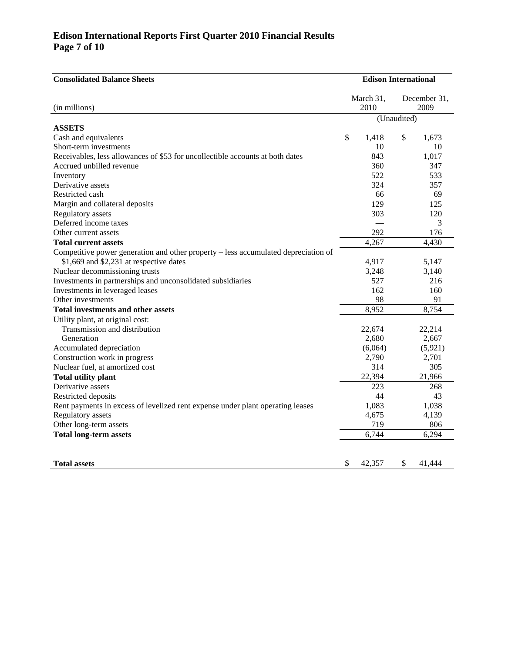# **Edison International Reports First Quarter 2010 Financial Results Page 7 of 10**

| <b>Consolidated Balance Sheets</b>                                                 | <b>Edison International</b> |           |    |              |
|------------------------------------------------------------------------------------|-----------------------------|-----------|----|--------------|
|                                                                                    |                             | March 31, |    | December 31, |
| (in millions)                                                                      |                             | 2010      |    | 2009         |
|                                                                                    | (Unaudited)                 |           |    |              |
| <b>ASSETS</b>                                                                      |                             |           |    |              |
| Cash and equivalents                                                               | \$                          | 1,418     | \$ | 1,673        |
| Short-term investments                                                             |                             | 10        |    | 10           |
| Receivables, less allowances of \$53 for uncollectible accounts at both dates      |                             | 843       |    | 1,017        |
| Accrued unbilled revenue                                                           |                             | 360       |    | 347          |
| Inventory                                                                          |                             | 522       |    | 533          |
| Derivative assets                                                                  |                             | 324       |    | 357          |
| Restricted cash                                                                    |                             | 66        |    | 69           |
| Margin and collateral deposits                                                     |                             | 129       |    | 125          |
| Regulatory assets                                                                  |                             | 303       |    | 120          |
| Deferred income taxes                                                              |                             |           |    | 3            |
| Other current assets                                                               |                             | 292       |    | 176          |
| <b>Total current assets</b>                                                        |                             | 4,267     |    | 4,430        |
| Competitive power generation and other property - less accumulated depreciation of |                             |           |    |              |
| \$1,669 and \$2,231 at respective dates                                            |                             | 4,917     |    | 5,147        |
| Nuclear decommissioning trusts                                                     |                             | 3,248     |    | 3,140        |
| Investments in partnerships and unconsolidated subsidiaries                        |                             | 527       |    | 216          |
| Investments in leveraged leases                                                    |                             | 162       |    | 160          |
| Other investments                                                                  |                             | 98        |    | 91           |
| Total investments and other assets                                                 |                             | 8,952     |    | 8,754        |
| Utility plant, at original cost:                                                   |                             |           |    |              |
| Transmission and distribution                                                      |                             | 22,674    |    | 22,214       |
| Generation                                                                         |                             | 2,680     |    | 2,667        |
| Accumulated depreciation                                                           |                             | (6,064)   |    | (5, 921)     |
| Construction work in progress                                                      |                             | 2,790     |    | 2,701        |
| Nuclear fuel, at amortized cost                                                    |                             | 314       |    | 305          |
| <b>Total utility plant</b>                                                         |                             | 22,394    |    | 21,966       |
| Derivative assets                                                                  |                             | 223       |    | 268          |
| Restricted deposits                                                                |                             | 44        |    | 43           |
| Rent payments in excess of levelized rent expense under plant operating leases     |                             | 1,083     |    | 1,038        |
| Regulatory assets                                                                  |                             | 4,675     |    | 4,139        |
| Other long-term assets                                                             |                             | 719       |    | 806          |
| <b>Total long-term assets</b>                                                      |                             | 6,744     |    | 6,294        |
|                                                                                    |                             |           |    |              |
|                                                                                    |                             |           |    |              |
| <b>Total assets</b>                                                                | \$                          | 42.357    | \$ | 41.444       |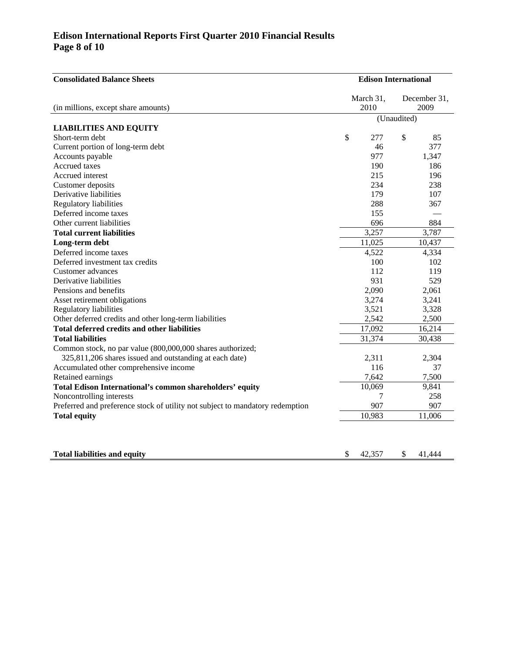## **Edison International Reports First Quarter 2010 Financial Results Page 8 of 10**

| <b>Consolidated Balance Sheets</b>                                            |    |                   | <b>Edison International</b> |                      |  |
|-------------------------------------------------------------------------------|----|-------------------|-----------------------------|----------------------|--|
| (in millions, except share amounts)                                           |    | March 31,<br>2010 |                             | December 31,<br>2009 |  |
|                                                                               |    |                   | (Unaudited)                 |                      |  |
| <b>LIABILITIES AND EQUITY</b>                                                 |    |                   |                             |                      |  |
| Short-term debt                                                               | \$ | 277               | \$                          | 85                   |  |
| Current portion of long-term debt                                             |    | 46                |                             | 377                  |  |
| Accounts payable                                                              |    | 977               |                             | 1,347                |  |
| Accrued taxes                                                                 |    | 190               |                             | 186                  |  |
| Accrued interest                                                              |    | 215               |                             | 196                  |  |
| Customer deposits                                                             |    | 234               |                             | 238                  |  |
| Derivative liabilities                                                        |    | 179               |                             | 107                  |  |
| Regulatory liabilities                                                        |    | 288               |                             | 367                  |  |
| Deferred income taxes                                                         |    | 155               |                             |                      |  |
| Other current liabilities                                                     |    | 696               |                             | 884                  |  |
| <b>Total current liabilities</b>                                              |    | 3,257             |                             | 3,787                |  |
| Long-term debt                                                                |    | 11,025            |                             | 10,437               |  |
| Deferred income taxes                                                         |    | 4,522             |                             | 4,334                |  |
| Deferred investment tax credits                                               |    | 100               |                             | 102                  |  |
| Customer advances                                                             |    | 112               |                             | 119                  |  |
| Derivative liabilities                                                        |    | 931               |                             | 529                  |  |
| Pensions and benefits                                                         |    | 2,090             |                             | 2,061                |  |
| Asset retirement obligations                                                  |    | 3,274             |                             | 3,241                |  |
| <b>Regulatory liabilities</b>                                                 |    | 3,521             |                             | 3,328                |  |
| Other deferred credits and other long-term liabilities                        |    | 2,542             |                             | 2,500                |  |
| <b>Total deferred credits and other liabilities</b>                           |    | 17,092            |                             | 16,214               |  |
| <b>Total liabilities</b>                                                      |    | 31,374            |                             | 30,438               |  |
| Common stock, no par value (800,000,000 shares authorized;                    |    |                   |                             |                      |  |
| 325,811,206 shares issued and outstanding at each date)                       |    | 2,311             |                             | 2,304                |  |
| Accumulated other comprehensive income                                        |    | 116               |                             | 37                   |  |
| Retained earnings                                                             |    | 7,642             |                             | 7,500                |  |
| Total Edison International's common shareholders' equity                      |    | 10,069            |                             | 9,841                |  |
| Noncontrolling interests                                                      |    | 7                 |                             | 258                  |  |
| Preferred and preference stock of utility not subject to mandatory redemption |    | 907               |                             | 907                  |  |
| <b>Total equity</b>                                                           |    | 10,983            |                             | 11,006               |  |

**Total liabilities and equity 8 42,357 \$ 41,444**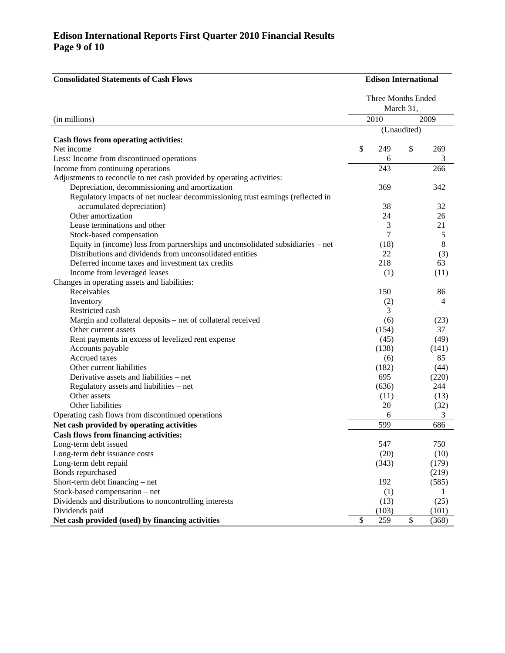### **Edison International Reports First Quarter 2010 Financial Results Page 9 of 10**

| <b>Consolidated Statements of Cash Flows</b>                                                                                                | <b>Edison International</b> |                    |             |                |
|---------------------------------------------------------------------------------------------------------------------------------------------|-----------------------------|--------------------|-------------|----------------|
|                                                                                                                                             |                             | Three Months Ended | March 31,   |                |
| (in millions)                                                                                                                               |                             | 2010               |             | 2009           |
|                                                                                                                                             |                             |                    | (Unaudited) |                |
| Cash flows from operating activities:                                                                                                       |                             |                    |             |                |
| Net income                                                                                                                                  | \$                          | 249                | \$          | 269            |
| Less: Income from discontinued operations                                                                                                   |                             | 6                  |             | 3              |
| Income from continuing operations                                                                                                           |                             | 243                |             | 266            |
| Adjustments to reconcile to net cash provided by operating activities:                                                                      |                             |                    |             |                |
| Depreciation, decommissioning and amortization                                                                                              |                             | 369                |             | 342            |
| Regulatory impacts of net nuclear decommissioning trust earnings (reflected in                                                              |                             |                    |             |                |
| accumulated depreciation)                                                                                                                   |                             | 38                 |             | 32             |
| Other amortization                                                                                                                          |                             | 24                 |             | 26             |
| Lease terminations and other                                                                                                                |                             | 3                  |             | 21             |
| Stock-based compensation                                                                                                                    |                             | 7                  |             | 5              |
| Equity in (income) loss from partnerships and unconsolidated subsidiaries – net<br>Distributions and dividends from unconsolidated entities |                             | (18)               |             | 8              |
|                                                                                                                                             |                             | 22                 |             | (3)            |
| Deferred income taxes and investment tax credits                                                                                            |                             | 218                |             | 63             |
| Income from leveraged leases                                                                                                                |                             | (1)                |             | (11)           |
| Changes in operating assets and liabilities:<br>Receivables                                                                                 |                             | 150                |             | 86             |
| Inventory                                                                                                                                   |                             |                    |             | $\overline{4}$ |
| Restricted cash                                                                                                                             |                             | (2)<br>3           |             |                |
| Margin and collateral deposits – net of collateral received                                                                                 |                             | (6)                |             | (23)           |
| Other current assets                                                                                                                        |                             | (154)              |             | 37             |
| Rent payments in excess of levelized rent expense                                                                                           |                             | (45)               |             | (49)           |
| Accounts payable                                                                                                                            |                             | (138)              |             | (141)          |
| Accrued taxes                                                                                                                               |                             | (6)                |             | 85             |
| Other current liabilities                                                                                                                   |                             | (182)              |             | (44)           |
| Derivative assets and liabilities – net                                                                                                     |                             | 695                |             | (220)          |
| Regulatory assets and liabilities – net                                                                                                     |                             | (636)              |             | 244            |
| Other assets                                                                                                                                |                             | (11)               |             | (13)           |
| Other liabilities                                                                                                                           |                             | 20                 |             | (32)           |
| Operating cash flows from discontinued operations                                                                                           |                             | 6                  |             | 3              |
| Net cash provided by operating activities                                                                                                   |                             | 599                |             | 686            |
| <b>Cash flows from financing activities:</b>                                                                                                |                             |                    |             |                |
| Long-term debt issued                                                                                                                       |                             | 547                |             | 750            |
| Long-term debt issuance costs                                                                                                               |                             | (20)               |             | (10)           |
| Long-term debt repaid                                                                                                                       |                             | (343)              |             | (179)          |
| Bonds repurchased                                                                                                                           |                             |                    |             | (219)          |
| Short-term debt financing – net                                                                                                             |                             | 192                |             | (585)          |
| Stock-based compensation – net                                                                                                              |                             | (1)                |             | 1              |
| Dividends and distributions to noncontrolling interests                                                                                     |                             | (13)               |             | (25)           |
| Dividends paid                                                                                                                              |                             | (103)              |             | (101)          |
| Net cash provided (used) by financing activities                                                                                            | \$                          | 259                | \$          | (368)          |